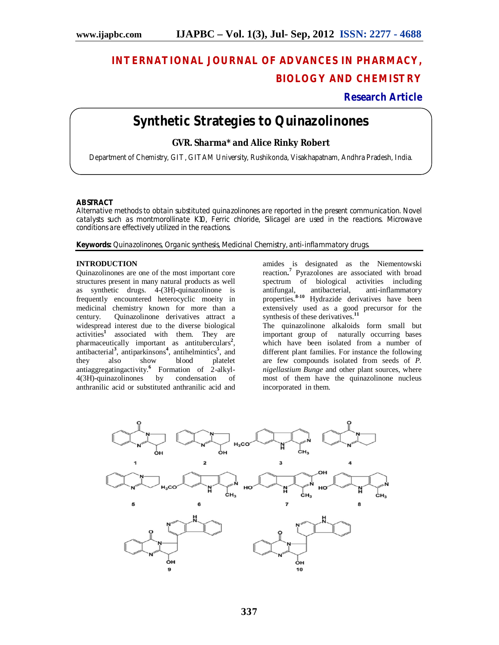# **INTERNATIONAL JOURNAL OF ADVANCES IN PHARMACY, BIOLOGY AND CHEMISTRY**

## **Research Article**

## **Synthetic Strategies to Quinazolinones**

### **GVR. Sharma\* and Alice Rinky Robert**

Department of Chemistry, GIT, GITAM University, Rushikonda, Visakhapatnam, Andhra Pradesh, India.

#### **ABSTRACT**

Alternative methods to obtain substituted quinazolinones are reported in the present communication. Novel catalysts such as montmorollinate K10, Ferric chloride, Silicagel are used in the reactions. Microwave conditions are effectively utilized in the reactions.

**Keywords:** Quinazolinones, Organic synthesis, Medicinal Chemistry, anti-inflammatory drugs.

#### **INTRODUCTION**

Quinazolinones are one of the most important core structures present in many natural products as well as synthetic drugs. 4-(3H)-quinazolinone is frequently encountered heterocyclic moeity in medicinal chemistry known for more than a century. Quinazolinone derivatives attract a widespread interest due to the diverse biological activities**<sup>1</sup>** associated with them. They are pharmaceutically important as antituberculars<sup>2</sup>, antibacterial**<sup>3</sup>** , antiparkinsons**<sup>4</sup>** , antihelmintics**<sup>5</sup>** , and they also show blood platelet antiaggregatingactivity.**<sup>6</sup>** Formation of 2-alkyl-4(3H)-quinazolinones by condensation of anthranilic acid or substituted anthranilic acid and

amides is designated as the Niementowski reaction**. 7** Pyrazolones are associated with broad spectrum of biological activities including antifungal, antibacterial, anti-inflammatory properties.**8-10** Hydrazide derivatives have been extensively used as a good precursor for the synthesis of these derivatives.**<sup>11</sup>**

The quinazolinone alkaloids form small but important group of naturally occurring bases which have been isolated from a number of different plant families. For instance the following are few compounds isolated from seeds of *P. nigellastium Bunge* and other plant sources, where most of them have the quinazolinone nucleus incorporated in them.

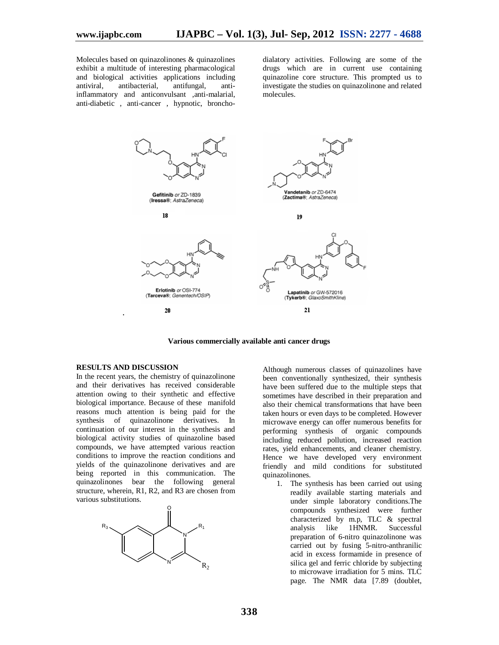Molecules based on quinazolinones & quinazolines exhibit a multitude of interesting pharmacological and biological activities applications including antiviral, antibacterial, antifungal, antiinflammatory and anticonvulsant ,anti-malarial, anti-diabetic , anti-cancer , hypnotic, bronchodialatory activities. Following are some of the drugs which are in current use containing quinazoline core structure. This prompted us to investigate the studies on quinazolinone and related molecules.



**Various commercially available anti cancer drugs**

#### **RESULTS AND DISCUSSION**

In the recent years, the chemistry of quinazolinone and their derivatives has received considerable attention owing to their synthetic and effective biological importance. Because of these manifold reasons much attention is being paid for the synthesis of quinazolinone derivatives. In continuation of our interest in the synthesis and biological activity studies of quinazoline based compounds, we have attempted various reaction conditions to improve the reaction conditions and yields of the quinazolinone derivatives and are being reported in this communication. The quinazolinones bear the following general structure, wherein, R1, R2, and R3 are chosen from various substitutions.



Although numerous classes of quinazolines have been conventionally synthesized, their synthesis have been suffered due to the multiple steps that sometimes have described in their preparation and also their chemical transformations that have been taken hours or even days to be completed. However microwave energy can offer numerous benefits for performing synthesis of organic compounds including reduced pollution, increased reaction rates, yield enhancements, and cleaner chemistry. Hence we have developed very environment friendly and mild conditions for substituted quinazolinones.

1. The synthesis has been carried out using readily available starting materials and under simple laboratory conditions.The compounds synthesized were further characterized by m.p, TLC & spectral<br>analysis like 1HNMR. Successful analysis like  $1HNMR$ . preparation of 6-nitro quinazolinone was carried out by fusing 5-nitro-anthranilic acid in excess formamide in presence of silica gel and ferric chloride by subjecting to microwave irradiation for 5 mins. TLC page. The NMR data [7.89 (doublet,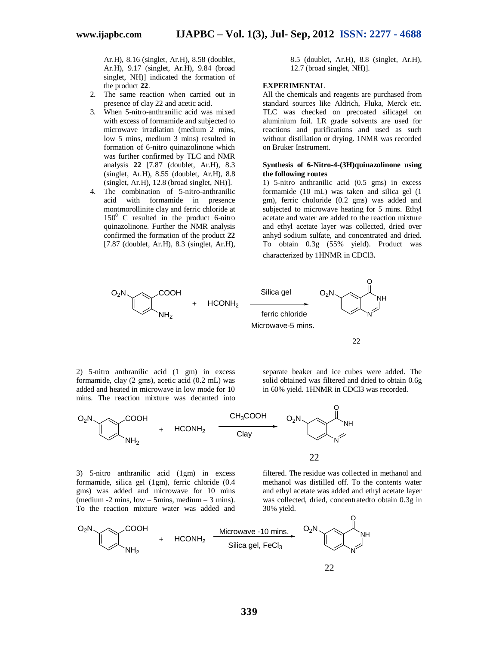Ar.H), 8.16 (singlet, Ar.H), 8.58 (doublet, Ar.H), 9.17 (singlet, Ar.H), 9.84 (broad singlet, NH)] indicated the formation of the product **22**.

- 2. The same reaction when carried out in presence of clay 22 and acetic acid.
- 3. When 5-nitro-anthranilic acid was mixed with excess of formamide and subjected to microwave irradiation (medium 2 mins, low 5 mins, medium 3 mins) resulted in formation of 6-nitro quinazolinone which was further confirmed by TLC and NMR analysis **22** [7.87 (doublet, Ar.H), 8.3 (singlet, Ar.H), 8.55 (doublet, Ar.H), 8.8 (singlet, Ar.H), 12.8 (broad singlet, NH)].
- 4. The combination of 5-nitro-anthranilic acid with formamide in presence montmorollinite clay and ferric chloride at  $150^0$  C resulted in the product 6-nitro quinazolinone. Further the NMR analysis confirmed the formation of the product **22** [7.87 (doublet, Ar.H), 8.3 (singlet, Ar.H),

8.5 (doublet, Ar.H), 8.8 (singlet, Ar.H), 12.7 (broad singlet, NH)].

#### **EXPERIMENTAL**

All the chemicals and reagents are purchased from standard sources like Aldrich, Fluka, Merck etc. TLC was checked on precoated silicagel on aluminium foil. LR grade solvents are used for reactions and purifications and used as such without distillation or drying. 1NMR was recorded on Bruker Instrument.

#### **Synthesis of 6-Nitro-4-(3H)quinazolinone using the following routes**

1) 5-nitro anthranilic acid (0.5 gms) in excess formamide (10 mL) was taken and silica gel (1 gm), ferric choloride (0.2 gms) was added and subjected to microwave heating for 5 mins. Ethyl acetate and water are added to the reaction mixture and ethyl acetate layer was collected, dried over anhyd sodium sulfate, and concentrated and dried. To obtain 0.3g (55% yield). Product was characterized by 1HNMR in CDCl3.



22

2) 5-nitro anthranilic acid (1 gm) in excess formamide, clay (2 gms), acetic acid (0.2 mL) was added and heated in microwave in low mode for 10 mins. The reaction mixture was decanted into separate beaker and ice cubes were added. The solid obtained was filtered and dried to obtain 0.6g in 60% yield. 1HNMR in CDCl3 was recorded.



22

3) 5-nitro anthranilic acid (1gm) in excess formamide, silica gel (1gm), ferric chloride (0.4 gms) was added and microwave for 10 mins (medium -2 mins, low – 5mins, medium – 3 mins). To the reaction mixture water was added and

filtered. The residue was collected in methanol and methanol was distilled off. To the contents water and ethyl acetate was added and ethyl acetate layer was collected, dried, concentratedto obtain 0.3g in 30% yield.

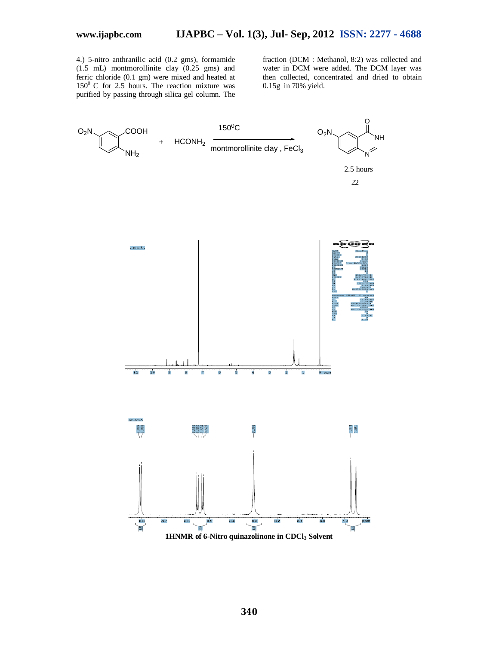4.) 5-nitro anthranilic acid (0.2 gms), formamide (1.5 mL) montmorollinite clay (0.25 gms) and ferric chloride (0.1 gm) were mixed and heated at  $150^{\circ}$  C for 2.5 hours. The reaction mixture was purified by passing through silica gel column. The

fraction (DCM : Methanol, 8:2) was collected and water in DCM were added. The DCM layer was then collected, concentrated and dried to obtain 0.15g in 70% yield.